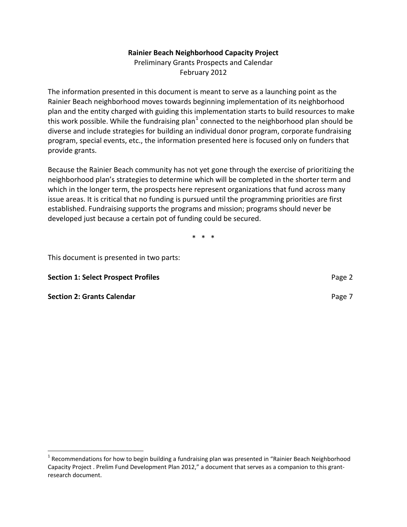## **Rainier Beach Neighborhood Capacity Project**

Preliminary Grants Prospects and Calendar February 2012

The information presented in this document is meant to serve as a launching point as the Rainier Beach neighborhood moves towards beginning implementation of its neighborhood plan and the entity charged with guiding this implementation starts to build resources to make this work possible. While the fundraising plan<sup>[1](#page-0-0)</sup> connected to the neighborhood plan should be diverse and include strategies for building an individual donor program, corporate fundraising program, special events, etc., the information presented here is focused only on funders that provide grants.

Because the Rainier Beach community has not yet gone through the exercise of prioritizing the neighborhood plan's strategies to determine which will be completed in the shorter term and which in the longer term, the prospects here represent organizations that fund across many issue areas. It is critical that no funding is pursued until the programming priorities are first established. Fundraising supports the programs and mission; programs should never be developed just because a certain pot of funding could be secured.

\* \* \*

This document is presented in two parts:

**Section 1: Select Prospect Profiles Page [2](#page-1-0) Page 2 Page 2 Page 2** 

**Section 2: Grants Calendar Page [7](#page-6-0) (2008) Page 7 (2009) Page 7 (2009) Page 7 (2009) Page 7 (2009) Page 7 (2009) Page 7 (2009) Page 7 (2009) Page 7 (2009) Page 7 (2009) Page 7 (2009) Page 7 (2009) Pa** 

<span id="page-0-0"></span> $1$  Recommendations for how to begin building a fundraising plan was presented in "Rainier Beach Neighborhood Capacity Project . Prelim Fund Development Plan 2012," a document that serves as a companion to this grantresearch document.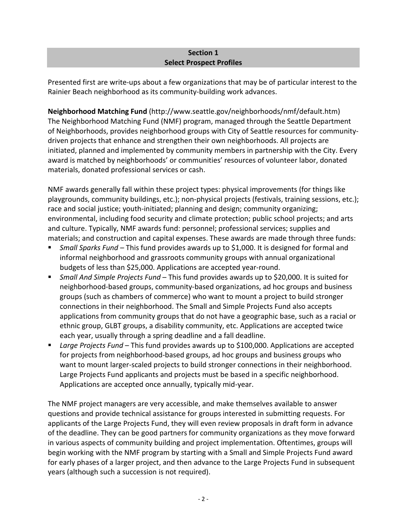## **Section 1 Select Prospect Profiles**

<span id="page-1-0"></span>Presented first are write-ups about a few organizations that may be of particular interest to the Rainier Beach neighborhood as its community-building work advances.

**Neighborhood Matching Fund** (http://www.seattle.gov/neighborhoods/nmf/default.htm) The Neighborhood Matching Fund (NMF) program, managed through the Seattle Department of Neighborhoods, provides neighborhood groups with City of Seattle resources for communitydriven projects that enhance and strengthen their own neighborhoods. All projects are initiated, planned and implemented by community members in partnership with the City. Every award is matched by neighborhoods' or communities' resources of volunteer labor, donated materials, donated professional services or cash.

NMF awards generally fall within these project types: physical improvements (for things like playgrounds, community buildings, etc.); non-physical projects (festivals, training sessions, etc.); race and social justice; youth-initiated; planning and design; community organizing; environmental, including food security and climate protection; public school projects; and arts and culture. Typically, NMF awards fund: personnel; professional services; supplies and materials; and construction and capital expenses. These awards are made through three funds:

- *Small Sparks Fund –* This fund provides awards up to \$1,000. It is designed for formal and informal neighborhood and grassroots community groups with annual organizational budgets of less than \$25,000. Applications are accepted year-round.
- *Small And Simple Projects Fund*  This fund provides awards up to \$20,000. It is suited for neighborhood-based groups, community-based organizations, ad hoc groups and business groups (such as chambers of commerce) who want to mount a project to build stronger connections in their neighborhood. The Small and Simple Projects Fund also accepts applications from community groups that do not have a geographic base, such as a racial or ethnic group, GLBT groups, a disability community, etc. Applications are accepted twice each year, usually through a spring deadline and a fall deadline.
- Large Projects Fund This fund provides awards up to \$100,000. Applications are accepted for projects from neighborhood-based groups, ad hoc groups and business groups who want to mount larger-scaled projects to build stronger connections in their neighborhood. Large Projects Fund applicants and projects must be based in a specific neighborhood. Applications are accepted once annually, typically mid-year.

The NMF project managers are very accessible, and make themselves available to answer questions and provide technical assistance for groups interested in submitting requests. For applicants of the Large Projects Fund, they will even review proposals in draft form in advance of the deadline. They can be good partners for community organizations as they move forward in various aspects of community building and project implementation. Oftentimes, groups will begin working with the NMF program by starting with a Small and Simple Projects Fund award for early phases of a larger project, and then advance to the Large Projects Fund in subsequent years (although such a succession is not required).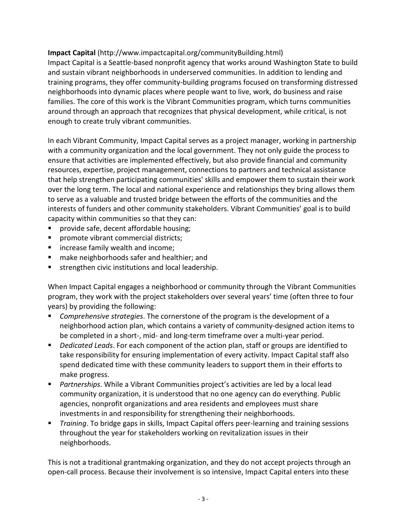## **Impact Capital** (http://www.impactcapital.org/communityBuilding.html)

Impact Capital is a Seattle-based nonprofit agency that works around Washington State to build and sustain vibrant neighborhoods in underserved communities. In addition to lending and training programs, they offer community-building programs focused on transforming distressed neighborhoods into dynamic places where people want to live, work, do business and raise families. The core of this work is the Vibrant Communities program, which turns communities around through an approach that recognizes that physical development, while critical, is not enough to create truly vibrant communities.

In each Vibrant Community, Impact Capital serves as a project manager, working in partnership with a community organization and the local government. They not only guide the process to ensure that activities are implemented effectively, but also provide financial and community resources, expertise, project management, connections to partners and technical assistance that help strengthen participating communities' skills and empower them to sustain their work over the long term. The local and national experience and relationships they bring allows them to serve as a valuable and trusted bridge between the efforts of the communities and the interests of funders and other community stakeholders. Vibrant Communities' goal is to build capacity within communities so that they can:

- provide safe, decent affordable housing;
- **Part of represents** promote vibrant commercial districts;
- increase family wealth and income;
- make neighborhoods safer and healthier; and
- strengthen civic institutions and local leadership.

When Impact Capital engages a neighborhood or community through the Vibrant Communities program, they work with the project stakeholders over several years' time (often three to four years) by providing the following:

- *Comprehensive strategies*. The cornerstone of the program is the development of a neighborhood action plan, which contains a variety of community-designed action items to be completed in a short-, mid- and long-term timeframe over a multi-year period.
- *Dedicated Leads*. For each component of the action plan, staff or groups are identified to take responsibility for ensuring implementation of every activity. Impact Capital staff also spend dedicated time with these community leaders to support them in their efforts to make progress.
- *Partnerships*. While a Vibrant Communities project's activities are led by a local lead community organization, it is understood that no one agency can do everything. Public agencies, nonprofit organizations and area residents and employees must share investments in and responsibility for strengthening their neighborhoods.
- *Training*. To bridge gaps in skills, Impact Capital offers peer-learning and training sessions throughout the year for stakeholders working on revitalization issues in their neighborhoods.

This is not a traditional grantmaking organization, and they do not accept projects through an open-call process. Because their involvement is so intensive, Impact Capital enters into these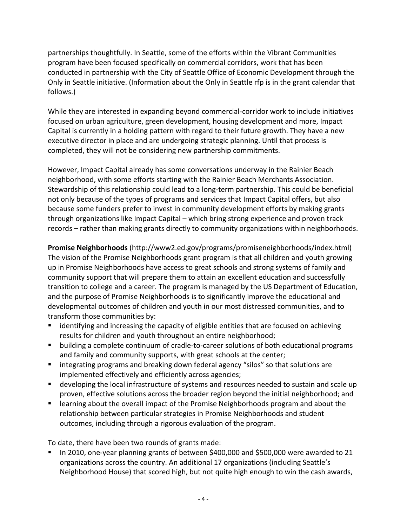partnerships thoughtfully. In Seattle, some of the efforts within the Vibrant Communities program have been focused specifically on commercial corridors, work that has been conducted in partnership with the City of Seattle Office of Economic Development through the Only in Seattle initiative. (Information about the Only in Seattle rfp is in the grant calendar that follows.)

While they are interested in expanding beyond commercial-corridor work to include initiatives focused on urban agriculture, green development, housing development and more, Impact Capital is currently in a holding pattern with regard to their future growth. They have a new executive director in place and are undergoing strategic planning. Until that process is completed, they will not be considering new partnership commitments.

However, Impact Capital already has some conversations underway in the Rainier Beach neighborhood, with some efforts starting with the Rainier Beach Merchants Association. Stewardship of this relationship could lead to a long-term partnership. This could be beneficial not only because of the types of programs and services that Impact Capital offers, but also because some funders prefer to invest in community development efforts by making grants through organizations like Impact Capital – which bring strong experience and proven track records – rather than making grants directly to community organizations within neighborhoods.

**Promise Neighborhoods** (http://www2.ed.gov/programs/promiseneighborhoods/index.html) The vision of the Promise Neighborhoods grant program is that all children and youth growing up in Promise Neighborhoods have access to great schools and strong systems of family and community support that will prepare them to attain an excellent education and successfully transition to college and a career. The program is managed by the US Department of Education, and the purpose of Promise Neighborhoods is to significantly improve the educational and developmental outcomes of children and youth in our most distressed communities, and to transform those communities by:

- identifying and increasing the capacity of eligible entities that are focused on achieving results for children and youth throughout an entire neighborhood;
- building a complete continuum of cradle-to-career solutions of both educational programs and family and community supports, with great schools at the center;
- **If integrating programs and breaking down federal agency "silos" so that solutions are** implemented effectively and efficiently across agencies;
- **developing the local infrastructure of systems and resources needed to sustain and scale up** proven, effective solutions across the broader region beyond the initial neighborhood; and
- **EXTER 1** Learning about the overall impact of the Promise Neighborhoods program and about the relationship between particular strategies in Promise Neighborhoods and student outcomes, including through a rigorous evaluation of the program.

To date, there have been two rounds of grants made:

 In 2010, one-year planning grants of between \$400,000 and \$500,000 were awarded to 21 organizations across the country. An additional 17 organizations (including Seattle's Neighborhood House) that scored high, but not quite high enough to win the cash awards,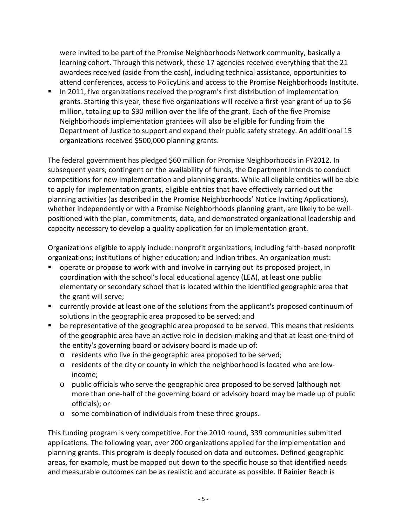were invited to be part of the Promise Neighborhoods Network community, basically a learning cohort. Through this network, these 17 agencies received everything that the 21 awardees received (aside from the cash), including technical assistance, opportunities to attend conferences, access to PolicyLink and access to the Promise Neighborhoods Institute.

In 2011, five organizations received the program's first distribution of implementation grants. Starting this year, these five organizations will receive a first-year grant of up to \$6 million, totaling up to \$30 million over the life of the grant. Each of the five Promise Neighborhoods implementation grantees will also be eligible for funding from the Department of Justice to support and expand their public safety strategy. An additional 15 organizations received \$500,000 planning grants.

The federal government has pledged \$60 million for Promise Neighborhoods in FY2012. In subsequent years, contingent on the availability of funds, the Department intends to conduct competitions for new implementation and planning grants. While all eligible entities will be able to apply for implementation grants, eligible entities that have effectively carried out the planning activities (as described in the Promise Neighborhoods' Notice Inviting Applications), whether independently or with a Promise Neighborhoods planning grant, are likely to be wellpositioned with the plan, commitments, data, and demonstrated organizational leadership and capacity necessary to develop a quality application for an implementation grant.

Organizations eligible to apply include: nonprofit organizations, including faith-based nonprofit organizations; institutions of higher education; and Indian tribes. An organization must:

- operate or propose to work with and involve in carrying out its proposed project, in coordination with the school's local educational agency (LEA), at least one public elementary or secondary school that is located within the identified geographic area that the grant will serve;
- currently provide at least one of the solutions from the applicant's proposed continuum of solutions in the geographic area proposed to be served; and
- **•** be representative of the geographic area proposed to be served. This means that residents of the geographic area have an active role in decision-making and that at least one-third of the entity's governing board or advisory board is made up of:
	- o residents who live in the geographic area proposed to be served;
	- $\circ$  residents of the city or county in which the neighborhood is located who are lowincome;
	- o public officials who serve the geographic area proposed to be served (although not more than one-half of the governing board or advisory board may be made up of public officials); or
	- o some combination of individuals from these three groups.

This funding program is very competitive. For the 2010 round, 339 communities submitted applications. The following year, over 200 organizations applied for the implementation and planning grants. This program is deeply focused on data and outcomes. Defined geographic areas, for example, must be mapped out down to the specific house so that identified needs and measurable outcomes can be as realistic and accurate as possible. If Rainier Beach is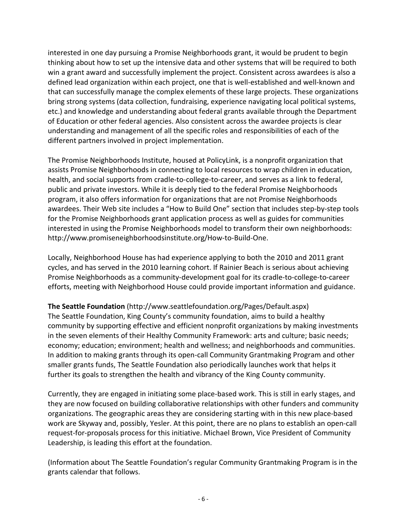interested in one day pursuing a Promise Neighborhoods grant, it would be prudent to begin thinking about how to set up the intensive data and other systems that will be required to both win a grant award and successfully implement the project. Consistent across awardees is also a defined lead organization within each project, one that is well-established and well-known and that can successfully manage the complex elements of these large projects. These organizations bring strong systems (data collection, fundraising, experience navigating local political systems, etc.) and knowledge and understanding about federal grants available through the Department of Education or other federal agencies. Also consistent across the awardee projects is clear understanding and management of all the specific roles and responsibilities of each of the different partners involved in project implementation.

The Promise Neighborhoods Institute, housed at PolicyLink, is a nonprofit organization that assists Promise Neighborhoods in connecting to local resources to wrap children in education, health, and social supports from cradle-to-college-to-career, and serves as a link to federal, public and private investors. While it is deeply tied to the federal Promise Neighborhoods program, it also offers information for organizations that are not Promise Neighborhoods awardees. Their Web site includes a "How to Build One" section that includes step-by-step tools for the Promise Neighborhoods grant application process as well as guides for communities interested in using the Promise Neighborhoods model to transform their own neighborhoods: http://www.promiseneighborhoodsinstitute.org/How-to-Build-One.

Locally, Neighborhood House has had experience applying to both the 2010 and 2011 grant cycles, and has served in the 2010 learning cohort. If Rainier Beach is serious about achieving Promise Neighborhoods as a community-development goal for its cradle-to-college-to-career efforts, meeting with Neighborhood House could provide important information and guidance.

**The Seattle Foundation** (http://www.seattlefoundation.org/Pages/Default.aspx)

The Seattle Foundation, King County's community foundation, aims to build a healthy community by supporting effective and efficient nonprofit organizations by making investments in the seven elements of their Healthy Community Framework: arts and culture; basic needs; economy; education; environment; health and wellness; and neighborhoods and communities. In addition to making grants through its open-call Community Grantmaking Program and other smaller grants funds, The Seattle Foundation also periodically launches work that helps it further its goals to strengthen the health and vibrancy of the King County community.

Currently, they are engaged in initiating some place-based work. This is still in early stages, and they are now focused on building collaborative relationships with other funders and community organizations. The geographic areas they are considering starting with in this new place-based work are Skyway and, possibly, Yesler. At this point, there are no plans to establish an open-call request-for-proposals process for this initiative. Michael Brown, Vice President of Community Leadership, is leading this effort at the foundation.

(Information about The Seattle Foundation's regular Community Grantmaking Program is in the grants calendar that follows.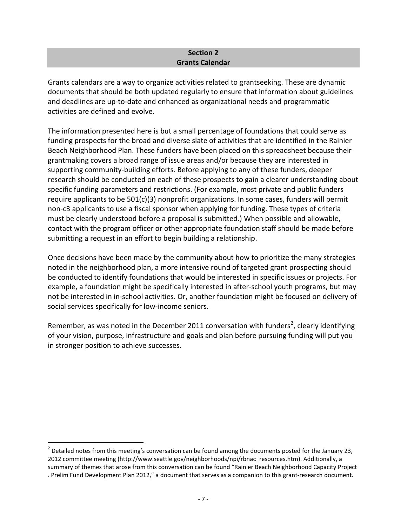## **Section 2 Grants Calendar**

<span id="page-6-0"></span>Grants calendars are a way to organize activities related to grantseeking. These are dynamic documents that should be both updated regularly to ensure that information about guidelines and deadlines are up-to-date and enhanced as organizational needs and programmatic activities are defined and evolve.

The information presented here is but a small percentage of foundations that could serve as funding prospects for the broad and diverse slate of activities that are identified in the Rainier Beach Neighborhood Plan. These funders have been placed on this spreadsheet because their grantmaking covers a broad range of issue areas and/or because they are interested in supporting community-building efforts. Before applying to any of these funders, deeper research should be conducted on each of these prospects to gain a clearer understanding about specific funding parameters and restrictions. (For example, most private and public funders require applicants to be 501(c)(3) nonprofit organizations. In some cases, funders will permit non-c3 applicants to use a fiscal sponsor when applying for funding. These types of criteria must be clearly understood before a proposal is submitted.) When possible and allowable, contact with the program officer or other appropriate foundation staff should be made before submitting a request in an effort to begin building a relationship.

Once decisions have been made by the community about how to prioritize the many strategies noted in the neighborhood plan, a more intensive round of targeted grant prospecting should be conducted to identify foundations that would be interested in specific issues or projects. For example, a foundation might be specifically interested in after-school youth programs, but may not be interested in in-school activities. Or, another foundation might be focused on delivery of social services specifically for low-income seniors.

Remember, as was noted in the December [2](#page-6-1)011 conversation with funders<sup>2</sup>, clearly identifying of your vision, purpose, infrastructure and goals and plan before pursuing funding will put you in stronger position to achieve successes.

<span id="page-6-1"></span> $2$  Detailed notes from this meeting's conversation can be found among the documents posted for the January 23, 2012 committee meeting (http://www.seattle.gov/neighborhoods/npi/rbnac\_resources.htm). Additionally, a summary of themes that arose from this conversation can be found "Rainier Beach Neighborhood Capacity Project . Prelim Fund Development Plan 2012," a document that serves as a companion to this grant-research document.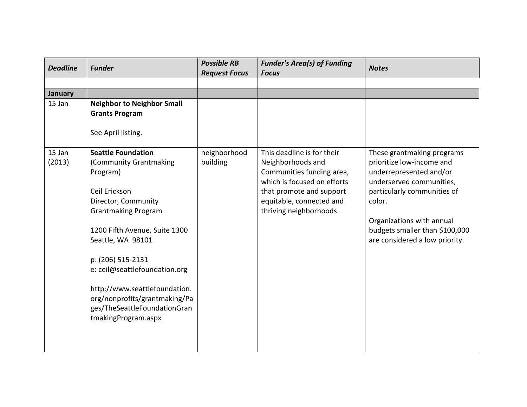| <b>Deadline</b> | <b>Funder</b>                                                                                                         | <b>Possible RB</b><br><b>Request Focus</b> | <b>Funder's Area(s) of Funding</b><br><b>Focus</b>                            | <b>Notes</b>                                                                     |
|-----------------|-----------------------------------------------------------------------------------------------------------------------|--------------------------------------------|-------------------------------------------------------------------------------|----------------------------------------------------------------------------------|
|                 |                                                                                                                       |                                            |                                                                               |                                                                                  |
| <b>January</b>  |                                                                                                                       |                                            |                                                                               |                                                                                  |
| 15 Jan          | <b>Neighbor to Neighbor Small</b><br><b>Grants Program</b><br>See April listing.                                      |                                            |                                                                               |                                                                                  |
| 15 Jan          | <b>Seattle Foundation</b>                                                                                             | neighborhood                               | This deadline is for their                                                    | These grantmaking programs                                                       |
| (2013)          | (Community Grantmaking<br>Program)                                                                                    | building                                   | Neighborhoods and<br>Communities funding area,<br>which is focused on efforts | prioritize low-income and<br>underrepresented and/or<br>underserved communities, |
|                 | Ceil Erickson                                                                                                         |                                            | that promote and support                                                      | particularly communities of                                                      |
|                 | Director, Community<br><b>Grantmaking Program</b>                                                                     |                                            | equitable, connected and<br>thriving neighborhoods.                           | color.                                                                           |
|                 | 1200 Fifth Avenue, Suite 1300                                                                                         |                                            |                                                                               | Organizations with annual<br>budgets smaller than \$100,000                      |
|                 | Seattle, WA 98101                                                                                                     |                                            |                                                                               | are considered a low priority.                                                   |
|                 | p: (206) 515-2131<br>e: ceil@seattlefoundation.org                                                                    |                                            |                                                                               |                                                                                  |
|                 | http://www.seattlefoundation.<br>org/nonprofits/grantmaking/Pa<br>ges/TheSeattleFoundationGran<br>tmakingProgram.aspx |                                            |                                                                               |                                                                                  |
|                 |                                                                                                                       |                                            |                                                                               |                                                                                  |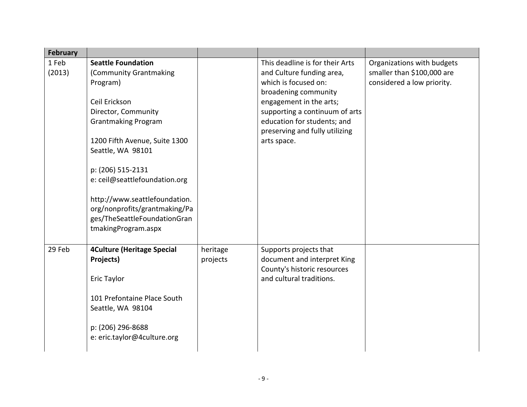| <b>February</b> |                                                                                                                                                                                                                                                                                                                                                                            |                      |                                                                                                                                                                                                                                                           |                                                                                        |
|-----------------|----------------------------------------------------------------------------------------------------------------------------------------------------------------------------------------------------------------------------------------------------------------------------------------------------------------------------------------------------------------------------|----------------------|-----------------------------------------------------------------------------------------------------------------------------------------------------------------------------------------------------------------------------------------------------------|----------------------------------------------------------------------------------------|
| 1 Feb<br>(2013) | <b>Seattle Foundation</b><br>(Community Grantmaking<br>Program)<br>Ceil Erickson<br>Director, Community<br><b>Grantmaking Program</b><br>1200 Fifth Avenue, Suite 1300<br>Seattle, WA 98101<br>p: (206) 515-2131<br>e: ceil@seattlefoundation.org<br>http://www.seattlefoundation.<br>org/nonprofits/grantmaking/Pa<br>ges/TheSeattleFoundationGran<br>tmakingProgram.aspx |                      | This deadline is for their Arts<br>and Culture funding area,<br>which is focused on:<br>broadening community<br>engagement in the arts;<br>supporting a continuum of arts<br>education for students; and<br>preserving and fully utilizing<br>arts space. | Organizations with budgets<br>smaller than \$100,000 are<br>considered a low priority. |
| 29 Feb          | <b>4Culture (Heritage Special</b><br>Projects)<br>Eric Taylor<br>101 Prefontaine Place South<br>Seattle, WA 98104<br>p: (206) 296-8688<br>e: eric.taylor@4culture.org                                                                                                                                                                                                      | heritage<br>projects | Supports projects that<br>document and interpret King<br>County's historic resources<br>and cultural traditions.                                                                                                                                          |                                                                                        |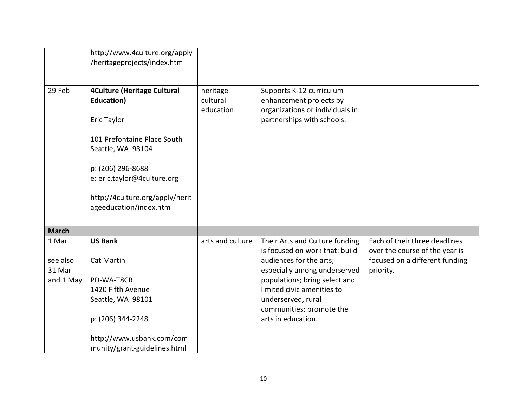|                                          | http://www.4culture.org/apply<br>/heritageprojects/index.htm                                                                                                                                                                         |                                   |                                                                                                                                                                                                                                                                    |                                                                                                                |
|------------------------------------------|--------------------------------------------------------------------------------------------------------------------------------------------------------------------------------------------------------------------------------------|-----------------------------------|--------------------------------------------------------------------------------------------------------------------------------------------------------------------------------------------------------------------------------------------------------------------|----------------------------------------------------------------------------------------------------------------|
| 29 Feb                                   | <b>4Culture (Heritage Cultural</b><br>Education)<br>Eric Taylor<br>101 Prefontaine Place South<br>Seattle, WA 98104<br>p: (206) 296-8688<br>e: eric.taylor@4culture.org<br>http://4culture.org/apply/herit<br>ageeducation/index.htm | heritage<br>cultural<br>education | Supports K-12 curriculum<br>enhancement projects by<br>organizations or individuals in<br>partnerships with schools.                                                                                                                                               |                                                                                                                |
| <b>March</b>                             |                                                                                                                                                                                                                                      |                                   |                                                                                                                                                                                                                                                                    |                                                                                                                |
| 1 Mar<br>see also<br>31 Mar<br>and 1 May | <b>US Bank</b><br><b>Cat Martin</b><br>PD-WA-T8CR<br>1420 Fifth Avenue<br>Seattle, WA 98101<br>p: (206) 344-2248<br>http://www.usbank.com/com<br>munity/grant-guidelines.html                                                        | arts and culture                  | Their Arts and Culture funding<br>is focused on work that: build<br>audiences for the arts,<br>especially among underserved<br>populations; bring select and<br>limited civic amenities to<br>underserved, rural<br>communities; promote the<br>arts in education. | Each of their three deadlines<br>over the course of the year is<br>focused on a different funding<br>priority. |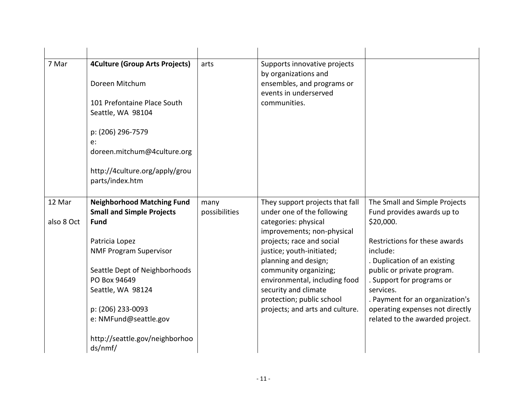| 7 Mar      | <b>4Culture (Group Arts Projects)</b>             | arts          | Supports innovative projects                                                |                                              |
|------------|---------------------------------------------------|---------------|-----------------------------------------------------------------------------|----------------------------------------------|
|            | Doreen Mitchum                                    |               | by organizations and<br>ensembles, and programs or<br>events in underserved |                                              |
|            | 101 Prefontaine Place South<br>Seattle, WA 98104  |               | communities.                                                                |                                              |
|            | p: (206) 296-7579<br>$e$ :                        |               |                                                                             |                                              |
|            | doreen.mitchum@4culture.org                       |               |                                                                             |                                              |
|            | http://4culture.org/apply/grou<br>parts/index.htm |               |                                                                             |                                              |
| 12 Mar     | <b>Neighborhood Matching Fund</b>                 | many          | They support projects that fall                                             | The Small and Simple Projects                |
|            | <b>Small and Simple Projects</b>                  | possibilities | under one of the following                                                  | Fund provides awards up to                   |
| also 8 Oct | <b>Fund</b>                                       |               | categories: physical<br>improvements; non-physical                          | \$20,000.                                    |
|            | Patricia Lopez                                    |               | projects; race and social                                                   | Restrictions for these awards                |
|            | <b>NMF Program Supervisor</b>                     |               | justice; youth-initiated;<br>planning and design;                           | include:<br>. Duplication of an existing     |
|            | Seattle Dept of Neighborhoods                     |               | community organizing;                                                       | public or private program.                   |
|            | PO Box 94649                                      |               | environmental, including food                                               | . Support for programs or                    |
|            | Seattle, WA 98124                                 |               | security and climate<br>protection; public school                           | services.<br>. Payment for an organization's |
|            | p: (206) 233-0093                                 |               | projects; and arts and culture.                                             | operating expenses not directly              |
|            | e: NMFund@seattle.gov                             |               |                                                                             | related to the awarded project.              |
|            | http://seattle.gov/neighborhoo<br>ds/nmf/         |               |                                                                             |                                              |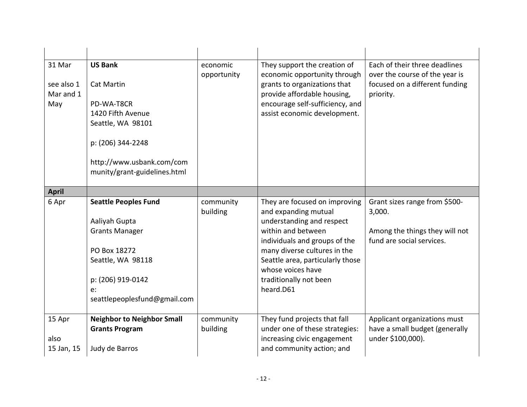| 31 Mar<br>see also 1<br>Mar and 1<br>May | <b>US Bank</b><br><b>Cat Martin</b><br>PD-WA-T8CR<br>1420 Fifth Avenue<br>Seattle, WA 98101<br>p: (206) 344-2248<br>http://www.usbank.com/com<br>munity/grant-guidelines.html | economic<br>opportunity | They support the creation of<br>economic opportunity through<br>grants to organizations that<br>provide affordable housing,<br>encourage self-sufficiency, and<br>assist economic development.                                                                            | Each of their three deadlines<br>over the course of the year is<br>focused on a different funding<br>priority. |
|------------------------------------------|-------------------------------------------------------------------------------------------------------------------------------------------------------------------------------|-------------------------|---------------------------------------------------------------------------------------------------------------------------------------------------------------------------------------------------------------------------------------------------------------------------|----------------------------------------------------------------------------------------------------------------|
| <b>April</b>                             |                                                                                                                                                                               |                         |                                                                                                                                                                                                                                                                           |                                                                                                                |
| 6 Apr                                    | <b>Seattle Peoples Fund</b><br>Aaliyah Gupta<br><b>Grants Manager</b><br>PO Box 18272<br>Seattle, WA 98118<br>p: (206) 919-0142<br>e:<br>seattlepeoplesfund@gmail.com         | community<br>building   | They are focused on improving<br>and expanding mutual<br>understanding and respect<br>within and between<br>individuals and groups of the<br>many diverse cultures in the<br>Seattle area, particularly those<br>whose voices have<br>traditionally not been<br>heard.D61 | Grant sizes range from \$500-<br>3,000.<br>Among the things they will not<br>fund are social services.         |
| 15 Apr<br>also<br>15 Jan, 15             | <b>Neighbor to Neighbor Small</b><br><b>Grants Program</b><br>Judy de Barros                                                                                                  | community<br>building   | They fund projects that fall<br>under one of these strategies:<br>increasing civic engagement<br>and community action; and                                                                                                                                                | Applicant organizations must<br>have a small budget (generally<br>under \$100,000).                            |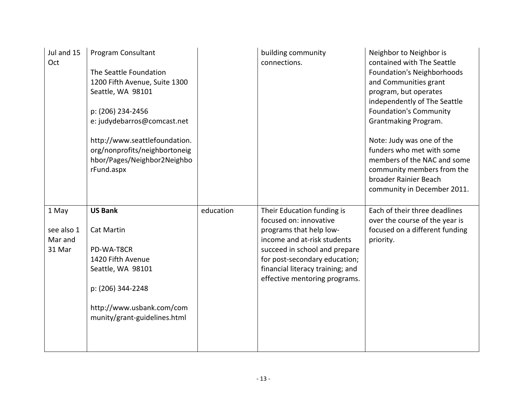| Jul and 15<br>Oct                        | Program Consultant<br>The Seattle Foundation<br>1200 Fifth Avenue, Suite 1300<br>Seattle, WA 98101<br>p: (206) 234-2456<br>e: judydebarros@comcast.net<br>http://www.seattlefoundation.<br>org/nonprofits/neighbortoneig<br>hbor/Pages/Neighbor2Neighbo<br>rFund.aspx |           | building community<br>connections.                                                                                                                                                                                                                    | Neighbor to Neighbor is<br>contained with The Seattle<br><b>Foundation's Neighborhoods</b><br>and Communities grant<br>program, but operates<br>independently of The Seattle<br><b>Foundation's Community</b><br>Grantmaking Program.<br>Note: Judy was one of the<br>funders who met with some<br>members of the NAC and some<br>community members from the<br>broader Rainier Beach<br>community in December 2011. |
|------------------------------------------|-----------------------------------------------------------------------------------------------------------------------------------------------------------------------------------------------------------------------------------------------------------------------|-----------|-------------------------------------------------------------------------------------------------------------------------------------------------------------------------------------------------------------------------------------------------------|----------------------------------------------------------------------------------------------------------------------------------------------------------------------------------------------------------------------------------------------------------------------------------------------------------------------------------------------------------------------------------------------------------------------|
| 1 May<br>see also 1<br>Mar and<br>31 Mar | <b>US Bank</b><br><b>Cat Martin</b><br>PD-WA-T8CR<br>1420 Fifth Avenue<br>Seattle, WA 98101<br>p: (206) 344-2248<br>http://www.usbank.com/com<br>munity/grant-guidelines.html                                                                                         | education | Their Education funding is<br>focused on: innovative<br>programs that help low-<br>income and at-risk students<br>succeed in school and prepare<br>for post-secondary education;<br>financial literacy training; and<br>effective mentoring programs. | Each of their three deadlines<br>over the course of the year is<br>focused on a different funding<br>priority.                                                                                                                                                                                                                                                                                                       |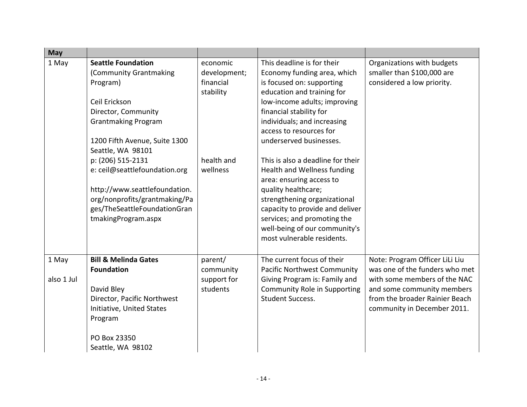| May                 |                                                                                                                                                                                             |                                                    |                                                                                                                                                                                                                                                                                      |                                                                                                                                                                                                 |
|---------------------|---------------------------------------------------------------------------------------------------------------------------------------------------------------------------------------------|----------------------------------------------------|--------------------------------------------------------------------------------------------------------------------------------------------------------------------------------------------------------------------------------------------------------------------------------------|-------------------------------------------------------------------------------------------------------------------------------------------------------------------------------------------------|
| 1 May               | <b>Seattle Foundation</b><br>(Community Grantmaking<br>Program)<br>Ceil Erickson<br>Director, Community<br><b>Grantmaking Program</b><br>1200 Fifth Avenue, Suite 1300<br>Seattle, WA 98101 | economic<br>development;<br>financial<br>stability | This deadline is for their<br>Economy funding area, which<br>is focused on: supporting<br>education and training for<br>low-income adults; improving<br>financial stability for<br>individuals; and increasing<br>access to resources for<br>underserved businesses.                 | Organizations with budgets<br>smaller than \$100,000 are<br>considered a low priority.                                                                                                          |
|                     | p: (206) 515-2131<br>e: ceil@seattlefoundation.org<br>http://www.seattlefoundation.<br>org/nonprofits/grantmaking/Pa<br>ges/TheSeattleFoundationGran<br>tmakingProgram.aspx                 | health and<br>wellness                             | This is also a deadline for their<br>Health and Wellness funding<br>area: ensuring access to<br>quality healthcare;<br>strengthening organizational<br>capacity to provide and deliver<br>services; and promoting the<br>well-being of our community's<br>most vulnerable residents. |                                                                                                                                                                                                 |
| 1 May<br>also 1 Jul | <b>Bill &amp; Melinda Gates</b><br><b>Foundation</b><br>David Bley<br>Director, Pacific Northwest<br>Initiative, United States<br>Program<br>PO Box 23350<br>Seattle, WA 98102              | parent/<br>community<br>support for<br>students    | The current focus of their<br>Pacific Northwest Community<br>Giving Program is: Family and<br>Community Role in Supporting<br><b>Student Success.</b>                                                                                                                                | Note: Program Officer LiLi Liu<br>was one of the funders who met<br>with some members of the NAC<br>and some community members<br>from the broader Rainier Beach<br>community in December 2011. |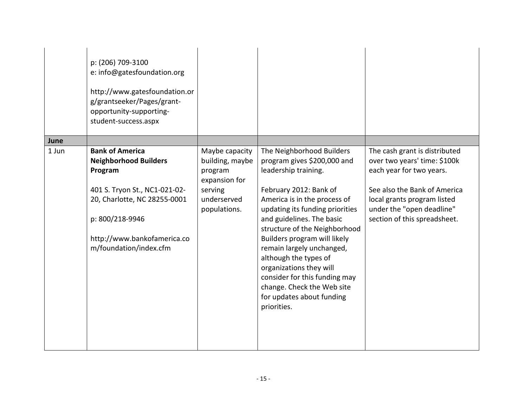| p: (206) 709-3100<br>student-success.aspx                                                     | e: info@gatesfoundation.org<br>http://www.gatesfoundation.or<br>g/grantseeker/Pages/grant-<br>opportunity-supporting-  |                                                                                                         |                                                                                                                                                                                                                                                                                                                                                                                                                                                                         |                                                                                                                                                                                                                       |
|-----------------------------------------------------------------------------------------------|------------------------------------------------------------------------------------------------------------------------|---------------------------------------------------------------------------------------------------------|-------------------------------------------------------------------------------------------------------------------------------------------------------------------------------------------------------------------------------------------------------------------------------------------------------------------------------------------------------------------------------------------------------------------------------------------------------------------------|-----------------------------------------------------------------------------------------------------------------------------------------------------------------------------------------------------------------------|
| June                                                                                          |                                                                                                                        |                                                                                                         |                                                                                                                                                                                                                                                                                                                                                                                                                                                                         |                                                                                                                                                                                                                       |
| <b>Bank of America</b><br>1 Jun<br><b>Neighborhood Builders</b><br>Program<br>p: 800/218-9946 | 401 S. Tryon St., NC1-021-02-<br>20, Charlotte, NC 28255-0001<br>http://www.bankofamerica.co<br>m/foundation/index.cfm | Maybe capacity<br>building, maybe<br>program<br>expansion for<br>serving<br>underserved<br>populations. | The Neighborhood Builders<br>program gives \$200,000 and<br>leadership training.<br>February 2012: Bank of<br>America is in the process of<br>updating its funding priorities<br>and guidelines. The basic<br>structure of the Neighborhood<br>Builders program will likely<br>remain largely unchanged,<br>although the types of<br>organizations they will<br>consider for this funding may<br>change. Check the Web site<br>for updates about funding<br>priorities. | The cash grant is distributed<br>over two years' time: \$100k<br>each year for two years.<br>See also the Bank of America<br>local grants program listed<br>under the "open deadline"<br>section of this spreadsheet. |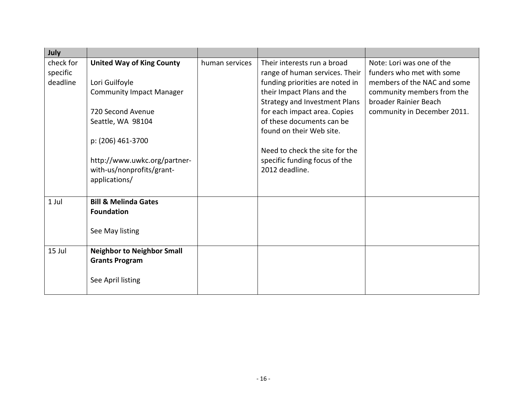| <b>United Way of King County</b> | human services                                                                                                                                                                                                                                                                                                                                               | Their interests run a broad    | Note: Lori was one of the                                                                                                                                                                                                                                                           |
|----------------------------------|--------------------------------------------------------------------------------------------------------------------------------------------------------------------------------------------------------------------------------------------------------------------------------------------------------------------------------------------------------------|--------------------------------|-------------------------------------------------------------------------------------------------------------------------------------------------------------------------------------------------------------------------------------------------------------------------------------|
|                                  |                                                                                                                                                                                                                                                                                                                                                              | range of human services. Their | funders who met with some                                                                                                                                                                                                                                                           |
|                                  |                                                                                                                                                                                                                                                                                                                                                              |                                | members of the NAC and some                                                                                                                                                                                                                                                         |
|                                  |                                                                                                                                                                                                                                                                                                                                                              |                                | community members from the                                                                                                                                                                                                                                                          |
|                                  |                                                                                                                                                                                                                                                                                                                                                              |                                | broader Rainier Beach                                                                                                                                                                                                                                                               |
|                                  |                                                                                                                                                                                                                                                                                                                                                              |                                | community in December 2011.                                                                                                                                                                                                                                                         |
|                                  |                                                                                                                                                                                                                                                                                                                                                              |                                |                                                                                                                                                                                                                                                                                     |
|                                  |                                                                                                                                                                                                                                                                                                                                                              |                                |                                                                                                                                                                                                                                                                                     |
|                                  |                                                                                                                                                                                                                                                                                                                                                              |                                |                                                                                                                                                                                                                                                                                     |
|                                  |                                                                                                                                                                                                                                                                                                                                                              |                                |                                                                                                                                                                                                                                                                                     |
|                                  |                                                                                                                                                                                                                                                                                                                                                              |                                |                                                                                                                                                                                                                                                                                     |
|                                  |                                                                                                                                                                                                                                                                                                                                                              |                                |                                                                                                                                                                                                                                                                                     |
|                                  |                                                                                                                                                                                                                                                                                                                                                              |                                |                                                                                                                                                                                                                                                                                     |
|                                  |                                                                                                                                                                                                                                                                                                                                                              |                                |                                                                                                                                                                                                                                                                                     |
|                                  |                                                                                                                                                                                                                                                                                                                                                              |                                |                                                                                                                                                                                                                                                                                     |
|                                  |                                                                                                                                                                                                                                                                                                                                                              |                                |                                                                                                                                                                                                                                                                                     |
|                                  |                                                                                                                                                                                                                                                                                                                                                              |                                |                                                                                                                                                                                                                                                                                     |
|                                  |                                                                                                                                                                                                                                                                                                                                                              |                                |                                                                                                                                                                                                                                                                                     |
|                                  |                                                                                                                                                                                                                                                                                                                                                              |                                |                                                                                                                                                                                                                                                                                     |
|                                  |                                                                                                                                                                                                                                                                                                                                                              |                                |                                                                                                                                                                                                                                                                                     |
|                                  |                                                                                                                                                                                                                                                                                                                                                              |                                |                                                                                                                                                                                                                                                                                     |
|                                  |                                                                                                                                                                                                                                                                                                                                                              |                                |                                                                                                                                                                                                                                                                                     |
|                                  |                                                                                                                                                                                                                                                                                                                                                              |                                |                                                                                                                                                                                                                                                                                     |
|                                  | Lori Guilfoyle<br><b>Community Impact Manager</b><br>720 Second Avenue<br>Seattle, WA 98104<br>p: (206) 461-3700<br>http://www.uwkc.org/partner-<br>with-us/nonprofits/grant-<br>applications/<br><b>Bill &amp; Melinda Gates</b><br><b>Foundation</b><br>See May listing<br><b>Neighbor to Neighbor Small</b><br><b>Grants Program</b><br>See April listing |                                | funding priorities are noted in<br>their Impact Plans and the<br><b>Strategy and Investment Plans</b><br>for each impact area. Copies<br>of these documents can be<br>found on their Web site.<br>Need to check the site for the<br>specific funding focus of the<br>2012 deadline. |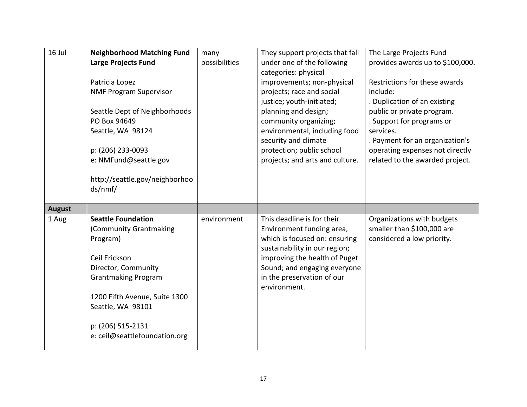| 16 Jul        | <b>Neighborhood Matching Fund</b><br><b>Large Projects Fund</b><br>Patricia Lopez<br><b>NMF Program Supervisor</b><br>Seattle Dept of Neighborhoods<br>PO Box 94649<br>Seattle, WA 98124<br>p: (206) 233-0093<br>e: NMFund@seattle.gov<br>http://seattle.gov/neighborhoo<br>ds/nmf/ | many<br>possibilities | They support projects that fall<br>under one of the following<br>categories: physical<br>improvements; non-physical<br>projects; race and social<br>justice; youth-initiated;<br>planning and design;<br>community organizing;<br>environmental, including food<br>security and climate<br>protection; public school<br>projects; and arts and culture. | The Large Projects Fund<br>provides awards up to \$100,000.<br>Restrictions for these awards<br>include:<br>. Duplication of an existing<br>public or private program.<br>. Support for programs or<br>services.<br>. Payment for an organization's<br>operating expenses not directly<br>related to the awarded project. |
|---------------|-------------------------------------------------------------------------------------------------------------------------------------------------------------------------------------------------------------------------------------------------------------------------------------|-----------------------|---------------------------------------------------------------------------------------------------------------------------------------------------------------------------------------------------------------------------------------------------------------------------------------------------------------------------------------------------------|---------------------------------------------------------------------------------------------------------------------------------------------------------------------------------------------------------------------------------------------------------------------------------------------------------------------------|
| <b>August</b> |                                                                                                                                                                                                                                                                                     |                       |                                                                                                                                                                                                                                                                                                                                                         |                                                                                                                                                                                                                                                                                                                           |
| 1 Aug         | <b>Seattle Foundation</b><br>(Community Grantmaking<br>Program)<br>Ceil Erickson<br>Director, Community<br><b>Grantmaking Program</b><br>1200 Fifth Avenue, Suite 1300<br>Seattle, WA 98101<br>p: (206) 515-2131<br>e: ceil@seattlefoundation.org                                   | environment           | This deadline is for their<br>Environment funding area,<br>which is focused on: ensuring<br>sustainability in our region;<br>improving the health of Puget<br>Sound; and engaging everyone<br>in the preservation of our<br>environment.                                                                                                                | Organizations with budgets<br>smaller than \$100,000 are<br>considered a low priority.                                                                                                                                                                                                                                    |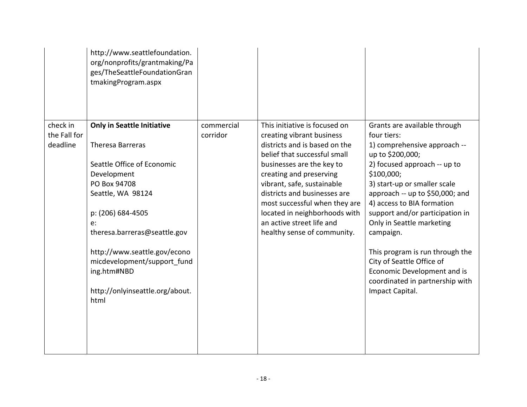|                                      | http://www.seattlefoundation.<br>org/nonprofits/grantmaking/Pa<br>ges/TheSeattleFoundationGran<br>tmakingProgram.aspx                                                                                                                                                                                                       |                        |                                                                                                                                                                                                                                                                                                                                                                                 |                                                                                                                                                                                                                                                                                                                                                                                                                                                                                  |
|--------------------------------------|-----------------------------------------------------------------------------------------------------------------------------------------------------------------------------------------------------------------------------------------------------------------------------------------------------------------------------|------------------------|---------------------------------------------------------------------------------------------------------------------------------------------------------------------------------------------------------------------------------------------------------------------------------------------------------------------------------------------------------------------------------|----------------------------------------------------------------------------------------------------------------------------------------------------------------------------------------------------------------------------------------------------------------------------------------------------------------------------------------------------------------------------------------------------------------------------------------------------------------------------------|
| check in<br>the Fall for<br>deadline | <b>Only in Seattle Initiative</b><br>Theresa Barreras<br>Seattle Office of Economic<br>Development<br>PO Box 94708<br>Seattle, WA 98124<br>p: (206) 684-4505<br>e:<br>theresa.barreras@seattle.gov<br>http://www.seattle.gov/econo<br>micdevelopment/support fund<br>ing.htm#NBD<br>http://onlyinseattle.org/about.<br>html | commercial<br>corridor | This initiative is focused on<br>creating vibrant business<br>districts and is based on the<br>belief that successful small<br>businesses are the key to<br>creating and preserving<br>vibrant, safe, sustainable<br>districts and businesses are<br>most successful when they are<br>located in neighborhoods with<br>an active street life and<br>healthy sense of community. | Grants are available through<br>four tiers:<br>1) comprehensive approach --<br>up to \$200,000;<br>2) focused approach -- up to<br>\$100,000;<br>3) start-up or smaller scale<br>approach -- up to \$50,000; and<br>4) access to BIA formation<br>support and/or participation in<br>Only in Seattle marketing<br>campaign.<br>This program is run through the<br>City of Seattle Office of<br>Economic Development and is<br>coordinated in partnership with<br>Impact Capital. |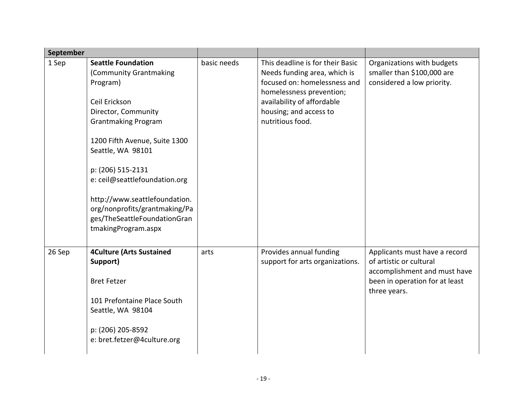| September |                                                                                                                                                                                                                                                                                                                                                                            |             |                                                                                                                                                                                                          |                                                                                                                                            |
|-----------|----------------------------------------------------------------------------------------------------------------------------------------------------------------------------------------------------------------------------------------------------------------------------------------------------------------------------------------------------------------------------|-------------|----------------------------------------------------------------------------------------------------------------------------------------------------------------------------------------------------------|--------------------------------------------------------------------------------------------------------------------------------------------|
| 1 Sep     | <b>Seattle Foundation</b><br>(Community Grantmaking<br>Program)<br>Ceil Erickson<br>Director, Community<br><b>Grantmaking Program</b><br>1200 Fifth Avenue, Suite 1300<br>Seattle, WA 98101<br>p: (206) 515-2131<br>e: ceil@seattlefoundation.org<br>http://www.seattlefoundation.<br>org/nonprofits/grantmaking/Pa<br>ges/TheSeattleFoundationGran<br>tmakingProgram.aspx | basic needs | This deadline is for their Basic<br>Needs funding area, which is<br>focused on: homelessness and<br>homelessness prevention;<br>availability of affordable<br>housing; and access to<br>nutritious food. | Organizations with budgets<br>smaller than \$100,000 are<br>considered a low priority.                                                     |
| 26 Sep    | <b>4Culture (Arts Sustained</b><br>Support)<br><b>Bret Fetzer</b><br>101 Prefontaine Place South<br>Seattle, WA 98104<br>p: (206) 205-8592<br>e: bret.fetzer@4culture.org                                                                                                                                                                                                  | arts        | Provides annual funding<br>support for arts organizations.                                                                                                                                               | Applicants must have a record<br>of artistic or cultural<br>accomplishment and must have<br>been in operation for at least<br>three years. |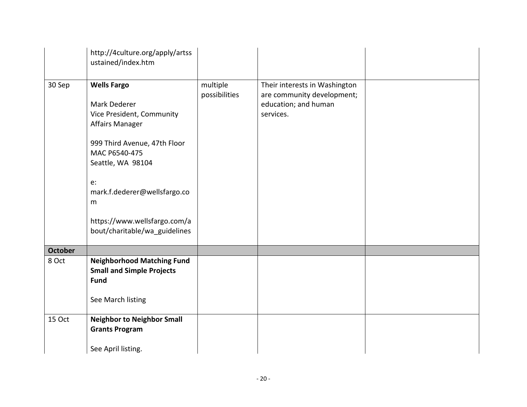|                | http://4culture.org/apply/artss<br>ustained/index.htm                                                                                                                                                                                                                       |                           |                                                                                                  |  |
|----------------|-----------------------------------------------------------------------------------------------------------------------------------------------------------------------------------------------------------------------------------------------------------------------------|---------------------------|--------------------------------------------------------------------------------------------------|--|
| 30 Sep         | <b>Wells Fargo</b><br>Mark Dederer<br>Vice President, Community<br><b>Affairs Manager</b><br>999 Third Avenue, 47th Floor<br>MAC P6540-475<br>Seattle, WA 98104<br>e:<br>mark.f.dederer@wellsfargo.co<br>m<br>https://www.wellsfargo.com/a<br>bout/charitable/wa_guidelines | multiple<br>possibilities | Their interests in Washington<br>are community development;<br>education; and human<br>services. |  |
| <b>October</b> |                                                                                                                                                                                                                                                                             |                           |                                                                                                  |  |
| 8 Oct          | <b>Neighborhood Matching Fund</b><br><b>Small and Simple Projects</b><br><b>Fund</b><br>See March listing                                                                                                                                                                   |                           |                                                                                                  |  |
| 15 Oct         | <b>Neighbor to Neighbor Small</b><br><b>Grants Program</b><br>See April listing.                                                                                                                                                                                            |                           |                                                                                                  |  |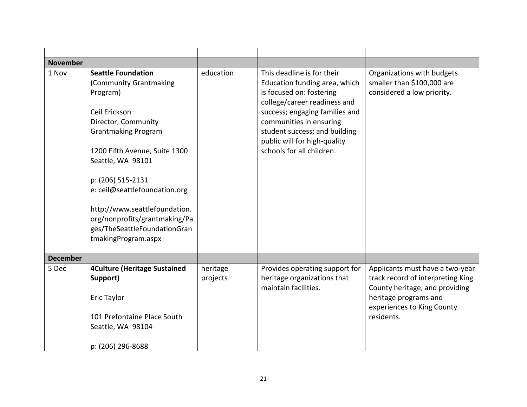| <b>November</b> |                                                                                                                                                                                                                                                                                                                                                                            |                      |                                                                                                                                                                                                                                                                                    |                                                                                                                                                                             |
|-----------------|----------------------------------------------------------------------------------------------------------------------------------------------------------------------------------------------------------------------------------------------------------------------------------------------------------------------------------------------------------------------------|----------------------|------------------------------------------------------------------------------------------------------------------------------------------------------------------------------------------------------------------------------------------------------------------------------------|-----------------------------------------------------------------------------------------------------------------------------------------------------------------------------|
| 1 Nov           | <b>Seattle Foundation</b><br>(Community Grantmaking<br>Program)<br>Ceil Erickson<br>Director, Community<br><b>Grantmaking Program</b><br>1200 Fifth Avenue, Suite 1300<br>Seattle, WA 98101<br>p: (206) 515-2131<br>e: ceil@seattlefoundation.org<br>http://www.seattlefoundation.<br>org/nonprofits/grantmaking/Pa<br>ges/TheSeattleFoundationGran<br>tmakingProgram.aspx | education            | This deadline is for their<br>Education funding area, which<br>is focused on: fostering<br>college/career readiness and<br>success; engaging families and<br>communities in ensuring<br>student success; and building<br>public will for high-quality<br>schools for all children. | Organizations with budgets<br>smaller than \$100,000 are<br>considered a low priority.                                                                                      |
| <b>December</b> |                                                                                                                                                                                                                                                                                                                                                                            |                      |                                                                                                                                                                                                                                                                                    |                                                                                                                                                                             |
| 5 Dec           | <b>4Culture (Heritage Sustained</b><br>Support)<br>Eric Taylor<br>101 Prefontaine Place South<br>Seattle, WA 98104<br>p: (206) 296-8688                                                                                                                                                                                                                                    | heritage<br>projects | Provides operating support for<br>heritage organizations that<br>maintain facilities.                                                                                                                                                                                              | Applicants must have a two-year<br>track record of interpreting King<br>County heritage, and providing<br>heritage programs and<br>experiences to King County<br>residents. |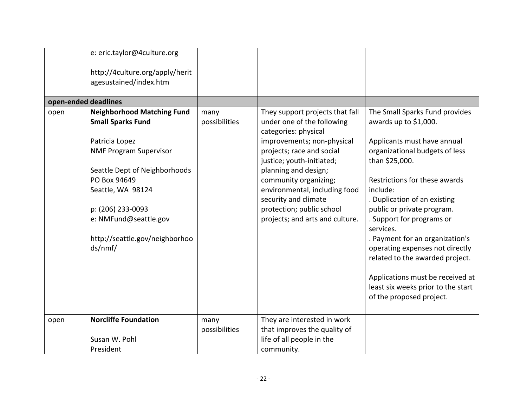|                      | e: eric.taylor@4culture.org<br>http://4culture.org/apply/herit<br>agesustained/index.htm                                                                                                                                                                                          |                       |                                                                                                                                                                                                                                                                                                                                                         |                                                                                                                                                                                                                                                                                                                                                                                                                                                                                                                |
|----------------------|-----------------------------------------------------------------------------------------------------------------------------------------------------------------------------------------------------------------------------------------------------------------------------------|-----------------------|---------------------------------------------------------------------------------------------------------------------------------------------------------------------------------------------------------------------------------------------------------------------------------------------------------------------------------------------------------|----------------------------------------------------------------------------------------------------------------------------------------------------------------------------------------------------------------------------------------------------------------------------------------------------------------------------------------------------------------------------------------------------------------------------------------------------------------------------------------------------------------|
| open-ended deadlines |                                                                                                                                                                                                                                                                                   |                       |                                                                                                                                                                                                                                                                                                                                                         |                                                                                                                                                                                                                                                                                                                                                                                                                                                                                                                |
| open                 | <b>Neighborhood Matching Fund</b><br><b>Small Sparks Fund</b><br>Patricia Lopez<br><b>NMF Program Supervisor</b><br>Seattle Dept of Neighborhoods<br>PO Box 94649<br>Seattle, WA 98124<br>p: (206) 233-0093<br>e: NMFund@seattle.gov<br>http://seattle.gov/neighborhoo<br>ds/nmf/ | many<br>possibilities | They support projects that fall<br>under one of the following<br>categories: physical<br>improvements; non-physical<br>projects; race and social<br>justice; youth-initiated;<br>planning and design;<br>community organizing;<br>environmental, including food<br>security and climate<br>protection; public school<br>projects; and arts and culture. | The Small Sparks Fund provides<br>awards up to \$1,000.<br>Applicants must have annual<br>organizational budgets of less<br>than \$25,000.<br>Restrictions for these awards<br>include:<br>. Duplication of an existing<br>public or private program.<br>. Support for programs or<br>services.<br>. Payment for an organization's<br>operating expenses not directly<br>related to the awarded project.<br>Applications must be received at<br>least six weeks prior to the start<br>of the proposed project. |
| open                 | <b>Norcliffe Foundation</b><br>Susan W. Pohl<br>President                                                                                                                                                                                                                         | many<br>possibilities | They are interested in work<br>that improves the quality of<br>life of all people in the<br>community.                                                                                                                                                                                                                                                  |                                                                                                                                                                                                                                                                                                                                                                                                                                                                                                                |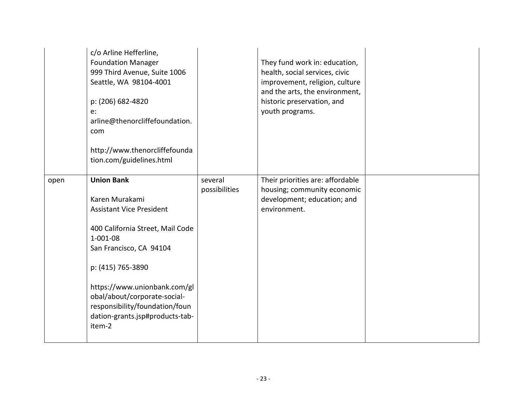|      | c/o Arline Hefferline,<br><b>Foundation Manager</b><br>999 Third Avenue, Suite 1006<br>Seattle, WA 98104-4001<br>p: (206) 682-4820<br>$e$ :<br>arline@thenorcliffefoundation.<br>com<br>http://www.thenorcliffefounda<br>tion.com/guidelines.html                                                                           |                          | They fund work in: education,<br>health, social services, civic<br>improvement, religion, culture<br>and the arts, the environment,<br>historic preservation, and<br>youth programs. |  |
|------|-----------------------------------------------------------------------------------------------------------------------------------------------------------------------------------------------------------------------------------------------------------------------------------------------------------------------------|--------------------------|--------------------------------------------------------------------------------------------------------------------------------------------------------------------------------------|--|
| open | <b>Union Bank</b><br>Karen Murakami<br><b>Assistant Vice President</b><br>400 California Street, Mail Code<br>$1 - 001 - 08$<br>San Francisco, CA 94104<br>p: (415) 765-3890<br>https://www.unionbank.com/gl<br>obal/about/corporate-social-<br>responsibility/foundation/foun<br>dation-grants.jsp#products-tab-<br>item-2 | several<br>possibilities | Their priorities are: affordable<br>housing; community economic<br>development; education; and<br>environment.                                                                       |  |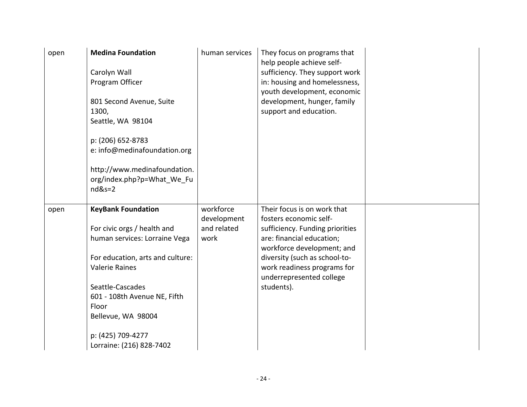| open | <b>Medina Foundation</b><br>Carolyn Wall<br>Program Officer<br>801 Second Avenue, Suite<br>1300,<br>Seattle, WA 98104<br>p: (206) 652-8783<br>e: info@medinafoundation.org<br>http://www.medinafoundation.<br>org/index.php?p=What We Fu<br>$nd&s=2$                                       | human services                                  | They focus on programs that<br>help people achieve self-<br>sufficiency. They support work<br>in: housing and homelessness,<br>youth development, economic<br>development, hunger, family<br>support and education.                                           |  |
|------|--------------------------------------------------------------------------------------------------------------------------------------------------------------------------------------------------------------------------------------------------------------------------------------------|-------------------------------------------------|---------------------------------------------------------------------------------------------------------------------------------------------------------------------------------------------------------------------------------------------------------------|--|
| open | <b>KeyBank Foundation</b><br>For civic orgs / health and<br>human services: Lorraine Vega<br>For education, arts and culture:<br><b>Valerie Raines</b><br>Seattle-Cascades<br>601 - 108th Avenue NE, Fifth<br>Floor<br>Bellevue, WA 98004<br>p: (425) 709-4277<br>Lorraine: (216) 828-7402 | workforce<br>development<br>and related<br>work | Their focus is on work that<br>fosters economic self-<br>sufficiency. Funding priorities<br>are: financial education;<br>workforce development; and<br>diversity (such as school-to-<br>work readiness programs for<br>underrepresented college<br>students). |  |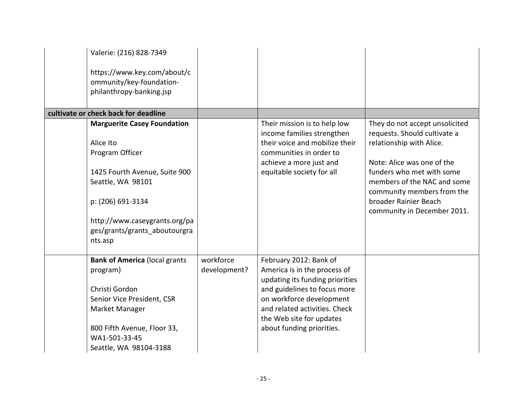| Valerie: (216) 828-7349                                 |              |                                                              |                                                           |
|---------------------------------------------------------|--------------|--------------------------------------------------------------|-----------------------------------------------------------|
| https://www.key.com/about/c<br>ommunity/key-foundation- |              |                                                              |                                                           |
| philanthropy-banking.jsp                                |              |                                                              |                                                           |
| cultivate or check back for deadline                    |              |                                                              |                                                           |
| <b>Marguerite Casey Foundation</b>                      |              | Their mission is to help low                                 | They do not accept unsolicited                            |
| Alice Ito                                               |              | income families strengthen<br>their voice and mobilize their | requests. Should cultivate a<br>relationship with Alice.  |
| Program Officer                                         |              | communities in order to                                      |                                                           |
|                                                         |              | achieve a more just and                                      | Note: Alice was one of the                                |
| 1425 Fourth Avenue, Suite 900                           |              | equitable society for all                                    | funders who met with some                                 |
| Seattle, WA 98101                                       |              |                                                              | members of the NAC and some<br>community members from the |
| p: (206) 691-3134                                       |              |                                                              | broader Rainier Beach<br>community in December 2011.      |
| http://www.caseygrants.org/pa                           |              |                                                              |                                                           |
| ges/grants/grants aboutourgra<br>nts.asp                |              |                                                              |                                                           |
| <b>Bank of America (local grants</b>                    | workforce    | February 2012: Bank of                                       |                                                           |
| program)                                                | development? | America is in the process of                                 |                                                           |
|                                                         |              | updating its funding priorities                              |                                                           |
| Christi Gordon                                          |              | and guidelines to focus more                                 |                                                           |
| Senior Vice President, CSR                              |              | on workforce development                                     |                                                           |
| Market Manager                                          |              | and related activities. Check<br>the Web site for updates    |                                                           |
| 800 Fifth Avenue, Floor 33,                             |              | about funding priorities.                                    |                                                           |
| WA1-501-33-45                                           |              |                                                              |                                                           |
| Seattle, WA 98104-3188                                  |              |                                                              |                                                           |